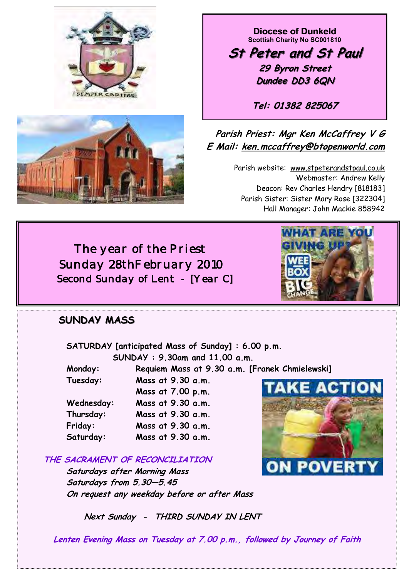



**Diocese of Dunkeld Scottish Charity No SC001810** 

**St Peter and St Paul 29 Byron Street Dundee DD3 6QN**

**Tel: 01382 825067**

# **Parish Priest: Mgr Ken McCaffrey V G E Mail: ken.mccaffrey@btopenworld.com**

Parish website: www.stpeterandstpaul.co.uk Webmaster: Andrew Kelly Deacon: Rev Charles Hendry [818183] Parish Sister: Sister Mary Rose [322304] Hall Manager: John Mackie 858942

 *The year of the Priest Sunday 28thFebruary 2010 Second Sunday of Lent - [Year C]* 



 **SATURDAY [anticipated Mass of Sunday] : 6.00 p.m. SUNDAY : 9.30am and 11.00 a.m.** 

 **Monday: Requiem Mass at 9.30 a.m. [Franek Chmielewski]** 

| Tuesday:   | Mass at 9.30 a.m. |
|------------|-------------------|
|            | Mass at 7.00 p.m. |
| Wednesday: | Mass at 9.30 a.m. |
| Thursday:  | Mass at 9.30 a.m. |
| Friday:    | Mass at 9.30 a.m. |
| Saturday:  | Mass at 9.30 a.m. |

**THE SACRAMENT OF RECONCILIATION**

 **Saturdays after Morning Mass Saturdays from 5.30—5.45 On request any weekday before or after Mass** 



 **Next Sunday - THIRD SUNDAY IN LENT** 

**Lenten Evening Mass on Tuesday at 7.00 p.m., followed by Journey of Faith** 

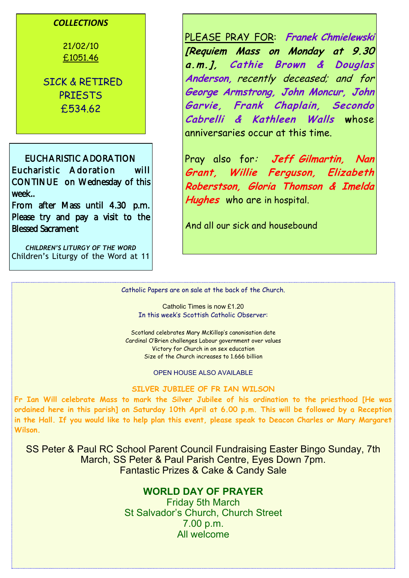### *COLLECTIONS*

21/02/10 £1051.46

SICK & RETIRED PRIESTS £534.62

EUCHARISTIC ADORATION Eucharistic Adoration will CONTINUE on Wednesday of this week..

From after Mass until 4.30 p.m. Please try and pay a visit to the Blessed Sacrament

*CHILDREN'S LITURGY OF THE WORD*  Children's Liturgy of the Word at 11 PLEASE PRAY FOR: **Franek Chmielewski [Requiem Mass on Monday at 9.30 a.m.], Cathie Brown & Douglas Anderson,** recently deceased; and for **George Armstrong, John Moncur, John Garvie, Frank Chaplain, Secondo Cabrelli & Kathleen Walls w**hose anniversaries occur at this time.

Pray also for: **Jeff Gilmartin, Nan Grant, Willie Ferguson, Elizabeth Roberstson, Gloria Thomson & Imelda Hughes** who are in hospital.

And all our sick and housebound

Catholic Papers are on sale at the back of the Church.

Catholic Times is now £1.20 In this week's Scottish Catholic Observer:

Scotland celebrates Mary McKillop's canonisation date Cardinal O'Brien challenges Labour government over values Victory for Church in on sex education Size of the Church increases to 1.666 billion

OPEN HOUSE ALSO AVAILABLE

#### **SILVER JUBILEE OF FR IAN WILSON**

**Fr Ian Will celebrate Mass to mark the Silver Jubilee of his ordination to the priesthood [He was ordained here in this parish] on Saturday 10th April at 6.00 p.m. This will be followed by a Reception in the Hall. If you would like to help plan this event, please speak to Deacon Charles or Mary Margaret Wilson.** 

SS Peter & Paul RC School Parent Council Fundraising Easter Bingo Sunday, 7th March, SS Peter & Paul Parish Centre, Eyes Down 7pm. Fantastic Prizes & Cake & Candy Sale

## **WORLD DAY OF PRAYER**

Friday 5th March St Salvador's Church, Church Street 7.00 p.m. All welcome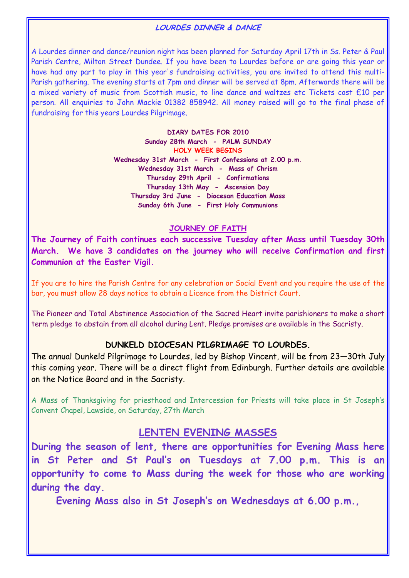### **LOURDES DINNER & DANCE**

A Lourdes dinner and dance/reunion night has been planned for Saturday April 17th in Ss. Peter & Paul Parish Centre, Milton Street Dundee. If you have been to Lourdes before or are going this year or have had any part to play in this year's fundraising activities, you are invited to attend this multi-Parish gathering. The evening starts at 7pm and dinner will be served at 8pm. Afterwards there will be a mixed variety of music from Scottish music, to line dance and waltzes etc Tickets cost £10 per person. All enquiries to John Mackie 01382 858942. All money raised will go to the final phase of fundraising for this years Lourdes Pilgrimage.

> **DIARY DATES FOR 2010 Sunday 28th March - PALM SUNDAY HOLY WEEK BEGINS Wednesday 31st March - First Confessions at 2.00 p.m. Wednesday 31st March - Mass of Chrism Thursday 29th April - Confirmations Thursday 13th May - Ascension Day Thursday 3rd June - Diocesan Education Mass Sunday 6th June - First Holy Communions**

#### **JOURNEY OF FAITH**

**The Journey of Faith continues each successive Tuesday after Mass until Tuesday 30th March. We have 3 candidates on the journey who will receive Confirmation and first Communion at the Easter Vigil.** 

If you are to hire the Parish Centre for any celebration or Social Event and you require the use of the bar, you must allow 28 days notice to obtain a Licence from the District Court.

The Pioneer and Total Abstinence Association of the Sacred Heart invite parishioners to make a short term pledge to abstain from all alcohol during Lent. Pledge promises are available in the Sacristy.

#### **DUNKELD DIOCESAN PILGRIMAGE TO LOURDES.**

The annual Dunkeld Pilgrimage to Lourdes, led by Bishop Vincent, will be from 23—30th July this coming year. There will be a direct flight from Edinburgh. Further details are available on the Notice Board and in the Sacristy.

A Mass of Thanksgiving for priesthood and Intercession for Priests will take place in St Joseph's Convent Chapel, Lawside, on Saturday, 27th March

## **LENTEN EVENING MASSES**

**During the season of lent, there are opportunities for Evening Mass here in St Peter and St Paul's on Tuesdays at 7.00 p.m. This is an opportunity to come to Mass during the week for those who are working during the day.** 

**Evening Mass also in St Joseph's on Wednesdays at 6.00 p.m.,**